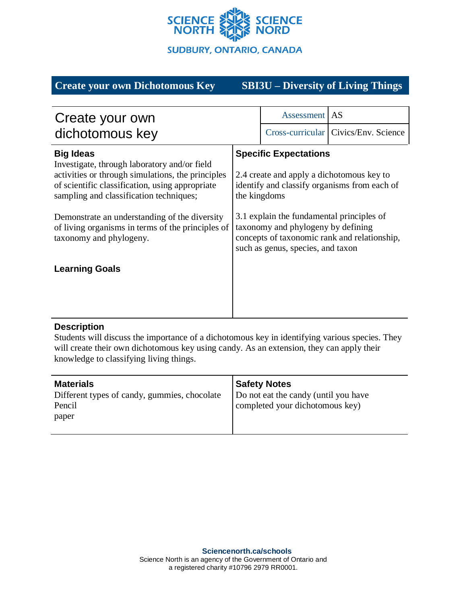

# **Create your own Dichotomous Key SBI3U – Diversity of Living Things**

| Create your own<br>dichotomous key                                                                                                                                                                                                                                                                                                                   |                                                                                                                                                                                                                                                                                                                   | Assessment | AS                                     |
|------------------------------------------------------------------------------------------------------------------------------------------------------------------------------------------------------------------------------------------------------------------------------------------------------------------------------------------------------|-------------------------------------------------------------------------------------------------------------------------------------------------------------------------------------------------------------------------------------------------------------------------------------------------------------------|------------|----------------------------------------|
|                                                                                                                                                                                                                                                                                                                                                      |                                                                                                                                                                                                                                                                                                                   |            | Cross-curricular   Civics/Env. Science |
| <b>Big Ideas</b><br>Investigate, through laboratory and/or field<br>activities or through simulations, the principles<br>of scientific classification, using appropriate<br>sampling and classification techniques;<br>Demonstrate an understanding of the diversity<br>of living organisms in terms of the principles of<br>taxonomy and phylogeny. | <b>Specific Expectations</b><br>2.4 create and apply a dichotomous key to<br>identify and classify organisms from each of<br>the kingdoms<br>3.1 explain the fundamental principles of<br>taxonomy and phylogeny by defining<br>concepts of taxonomic rank and relationship,<br>such as genus, species, and taxon |            |                                        |
| <b>Learning Goals</b>                                                                                                                                                                                                                                                                                                                                |                                                                                                                                                                                                                                                                                                                   |            |                                        |

## **Description**

Students will discuss the importance of a dichotomous key in identifying various species. They will create their own dichotomous key using candy. As an extension, they can apply their knowledge to classifying living things.

| <b>Materials</b>                             | <b>Safety Notes</b>                  |
|----------------------------------------------|--------------------------------------|
| Different types of candy, gummies, chocolate | Do not eat the candy (until you have |
| Pencil                                       | completed your dichotomous key)      |
| paper                                        |                                      |
|                                              |                                      |